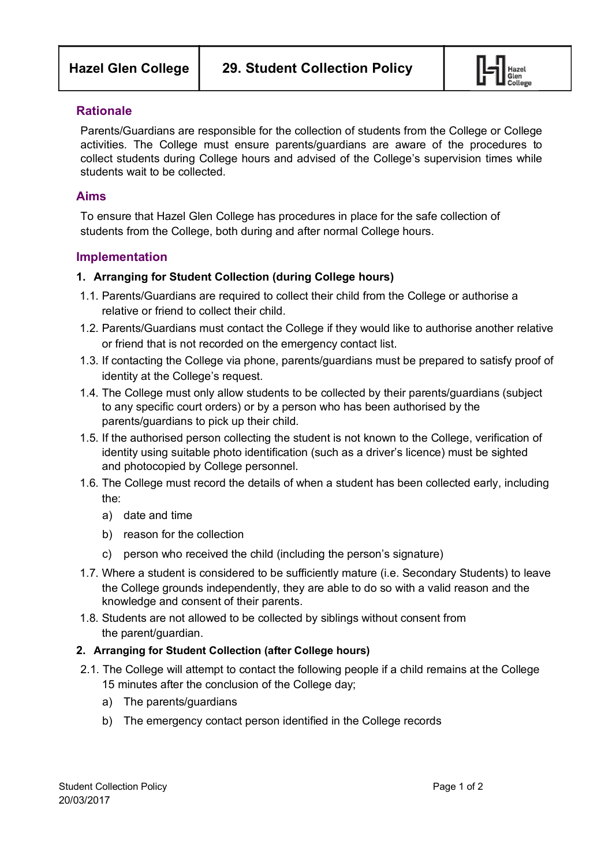

#### **Rationale**

Parents/Guardians are responsible for the collection of students from the College or College activities. The College must ensure parents/guardians are aware of the procedures to collect students during College hours and advised of the College's supervision times while students wait to be collected.

### **Aims**

To ensure that Hazel Glen College has procedures in place for the safe collection of students from the College, both during and after normal College hours.

## **Implementation**

#### **1. Arranging for Student Collection (during College hours)**

- 1.1. Parents/Guardians are required to collect their child from the College or authorise a relative or friend to collect their child.
- 1.2. Parents/Guardians must contact the College if they would like to authorise another relative or friend that is not recorded on the emergency contact list.
- 1.3. If contacting the College via phone, parents/guardians must be prepared to satisfy proof of identity at the College's request.
- 1.4. The College must only allow students to be collected by their parents/guardians (subject to any specific court orders) or by a person who has been authorised by the parents/guardians to pick up their child.
- 1.5. If the authorised person collecting the student is not known to the College, verification of identity using suitable photo identification (such as a driver's licence) must be sighted and photocopied by College personnel.
- 1.6. The College must record the details of when a student has been collected early, including the:
	- a) date and time
	- b) reason for the collection
	- c) person who received the child (including the person's signature)
- 1.7. Where a student is considered to be sufficiently mature (i.e. Secondary Students) to leave the College grounds independently, they are able to do so with a valid reason and the knowledge and consent of their parents.
- 1.8. Students are not allowed to be collected by siblings without consent from the parent/guardian.

#### **2. Arranging for Student Collection (after College hours)**

- 2.1. The College will attempt to contact the following people if a child remains at the College 15 minutes after the conclusion of the College day;
	- a) The parents/guardians
	- b) The emergency contact person identified in the College records